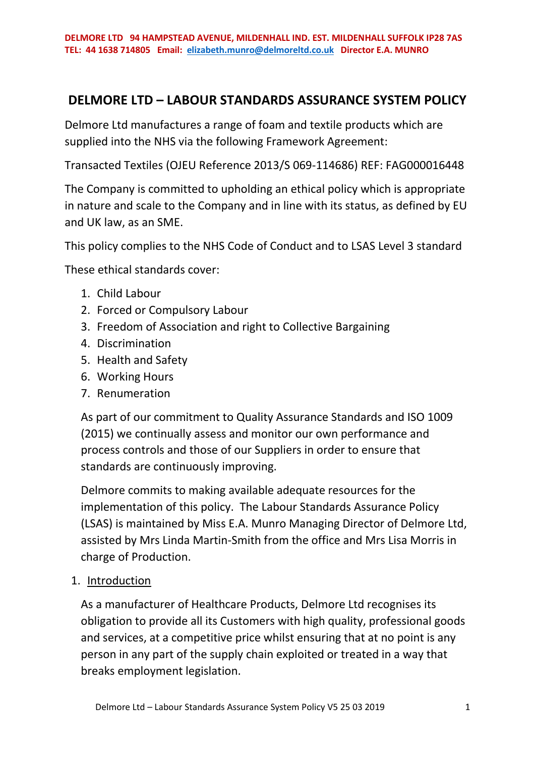# **DELMORE LTD – LABOUR STANDARDS ASSURANCE SYSTEM POLICY**

Delmore Ltd manufactures a range of foam and textile products which are supplied into the NHS via the following Framework Agreement:

Transacted Textiles (OJEU Reference 2013/S 069-114686) REF: FAG000016448

The Company is committed to upholding an ethical policy which is appropriate in nature and scale to the Company and in line with its status, as defined by EU and UK law, as an SME.

This policy complies to the NHS Code of Conduct and to LSAS Level 3 standard

These ethical standards cover:

- 1. Child Labour
- 2. Forced or Compulsory Labour
- 3. Freedom of Association and right to Collective Bargaining
- 4. Discrimination
- 5. Health and Safety
- 6. Working Hours
- 7. Renumeration

As part of our commitment to Quality Assurance Standards and ISO 1009 (2015) we continually assess and monitor our own performance and process controls and those of our Suppliers in order to ensure that standards are continuously improving.

Delmore commits to making available adequate resources for the implementation of this policy. The Labour Standards Assurance Policy (LSAS) is maintained by Miss E.A. Munro Managing Director of Delmore Ltd, assisted by Mrs Linda Martin-Smith from the office and Mrs Lisa Morris in charge of Production.

1. Introduction

As a manufacturer of Healthcare Products, Delmore Ltd recognises its obligation to provide all its Customers with high quality, professional goods and services, at a competitive price whilst ensuring that at no point is any person in any part of the supply chain exploited or treated in a way that breaks employment legislation.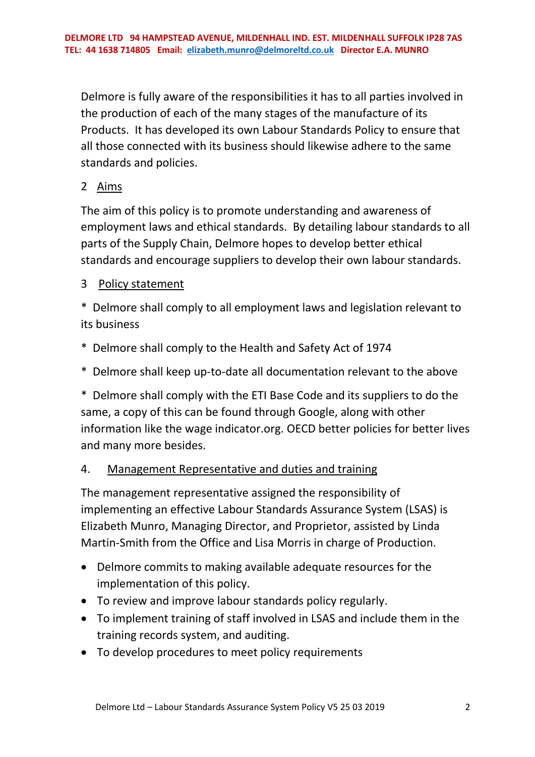Delmore is fully aware of the responsibilities it has to all parties involved in the production of each of the many stages of the manufacture of its Products. It has developed its own Labour Standards Policy to ensure that all those connected with its business should likewise adhere to the same standards and policies.

## 2 Aims

The aim of this policy is to promote understanding and awareness of employment laws and ethical standards. By detailing labour standards to all parts of the Supply Chain, Delmore hopes to develop better ethical standards and encourage suppliers to develop their own labour standards.

## 3 Policy statement

\* Delmore shall comply to all employment laws and legislation relevant to its business

- \* Delmore shall comply to the Health and Safety Act of 1974
- \* Delmore shall keep up-to-date all documentation relevant to the above

\* Delmore shall comply with the ETI Base Code and its suppliers to do the same, a copy of this can be found through Google, along with other information like the wage indicator.org. OECD better policies for better lives and many more besides.

## 4. Management Representative and duties and training

The management representative assigned the responsibility of implementing an effective Labour Standards Assurance System (LSAS) is Elizabeth Munro, Managing Director, and Proprietor, assisted by Linda Martin-Smith from the Office and Lisa Morris in charge of Production.

- Delmore commits to making available adequate resources for the implementation of this policy.
- To review and improve labour standards policy regularly.
- To implement training of staff involved in LSAS and include them in the training records system, and auditing.
- To develop procedures to meet policy requirements